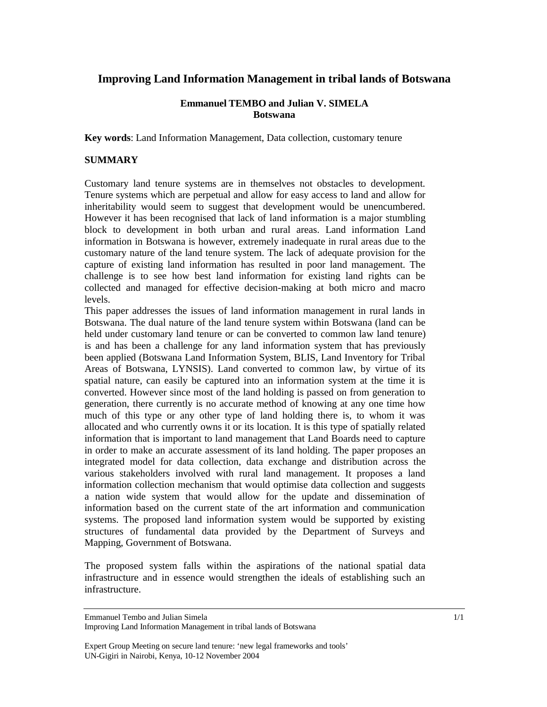# **Improving Land Information Management in tribal lands of Botswana**

## **Emmanuel TEMBO and Julian V. SIMELA Botswana**

**Key words**: Land Information Management, Data collection, customary tenure

## **SUMMARY**

Customary land tenure systems are in themselves not obstacles to development. Tenure systems which are perpetual and allow for easy access to land and allow for inheritability would seem to suggest that development would be unencumbered. However it has been recognised that lack of land information is a major stumbling block to development in both urban and rural areas. Land information Land information in Botswana is however, extremely inadequate in rural areas due to the customary nature of the land tenure system. The lack of adequate provision for the capture of existing land information has resulted in poor land management. The challenge is to see how best land information for existing land rights can be collected and managed for effective decision-making at both micro and macro levels.

This paper addresses the issues of land information management in rural lands in Botswana. The dual nature of the land tenure system within Botswana (land can be held under customary land tenure or can be converted to common law land tenure) is and has been a challenge for any land information system that has previously been applied (Botswana Land Information System, BLIS, Land Inventory for Tribal Areas of Botswana, LYNSIS). Land converted to common law, by virtue of its spatial nature, can easily be captured into an information system at the time it is converted. However since most of the land holding is passed on from generation to generation, there currently is no accurate method of knowing at any one time how much of this type or any other type of land holding there is, to whom it was allocated and who currently owns it or its location. It is this type of spatially related information that is important to land management that Land Boards need to capture in order to make an accurate assessment of its land holding. The paper proposes an integrated model for data collection, data exchange and distribution across the various stakeholders involved with rural land management. It proposes a land information collection mechanism that would optimise data collection and suggests a nation wide system that would allow for the update and dissemination of information based on the current state of the art information and communication systems. The proposed land information system would be supported by existing structures of fundamental data provided by the Department of Surveys and Mapping, Government of Botswana.

The proposed system falls within the aspirations of the national spatial data infrastructure and in essence would strengthen the ideals of establishing such an infrastructure.

Emmanuel Tembo and Julian Simela

Improving Land Information Management in tribal lands of Botswana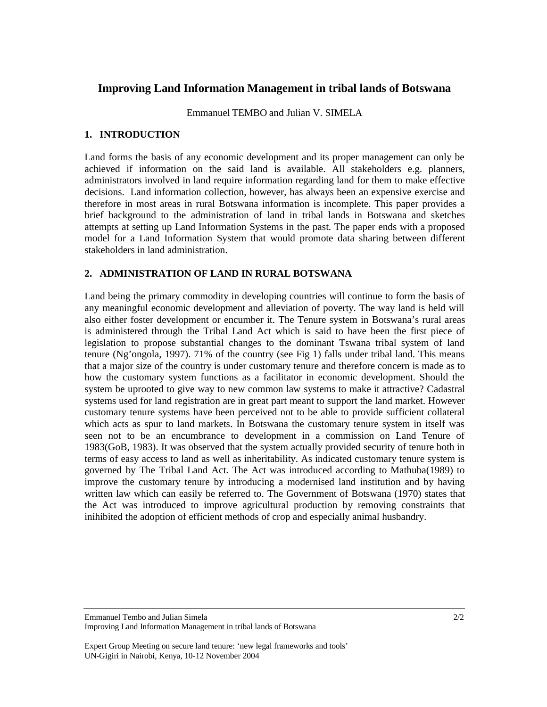# **Improving Land Information Management in tribal lands of Botswana**

Emmanuel TEMBO and Julian V. SIMELA

## **1. INTRODUCTION**

Land forms the basis of any economic development and its proper management can only be achieved if information on the said land is available. All stakeholders e.g. planners, administrators involved in land require information regarding land for them to make effective decisions. Land information collection, however, has always been an expensive exercise and therefore in most areas in rural Botswana information is incomplete. This paper provides a brief background to the administration of land in tribal lands in Botswana and sketches attempts at setting up Land Information Systems in the past. The paper ends with a proposed model for a Land Information System that would promote data sharing between different stakeholders in land administration.

## **2. ADMINISTRATION OF LAND IN RURAL BOTSWANA**

Land being the primary commodity in developing countries will continue to form the basis of any meaningful economic development and alleviation of poverty. The way land is held will also either foster development or encumber it. The Tenure system in Botswana's rural areas is administered through the Tribal Land Act which is said to have been the first piece of legislation to propose substantial changes to the dominant Tswana tribal system of land tenure (Ng'ongola, 1997). 71% of the country (see Fig 1) falls under tribal land. This means that a major size of the country is under customary tenure and therefore concern is made as to how the customary system functions as a facilitator in economic development. Should the system be uprooted to give way to new common law systems to make it attractive? Cadastral systems used for land registration are in great part meant to support the land market. However customary tenure systems have been perceived not to be able to provide sufficient collateral which acts as spur to land markets. In Botswana the customary tenure system in itself was seen not to be an encumbrance to development in a commission on Land Tenure of 1983(GoB, 1983). It was observed that the system actually provided security of tenure both in terms of easy access to land as well as inheritability. As indicated customary tenure system is governed by The Tribal Land Act. The Act was introduced according to Mathuba(1989) to improve the customary tenure by introducing a modernised land institution and by having written law which can easily be referred to. The Government of Botswana (1970) states that the Act was introduced to improve agricultural production by removing constraints that inihibited the adoption of efficient methods of crop and especially animal husbandry.

Emmanuel Tembo and Julian Simela Improving Land Information Management in tribal lands of Botswana

Expert Group Meeting on secure land tenure: 'new legal frameworks and tools' UN-Gigiri in Nairobi, Kenya, 10-12 November 2004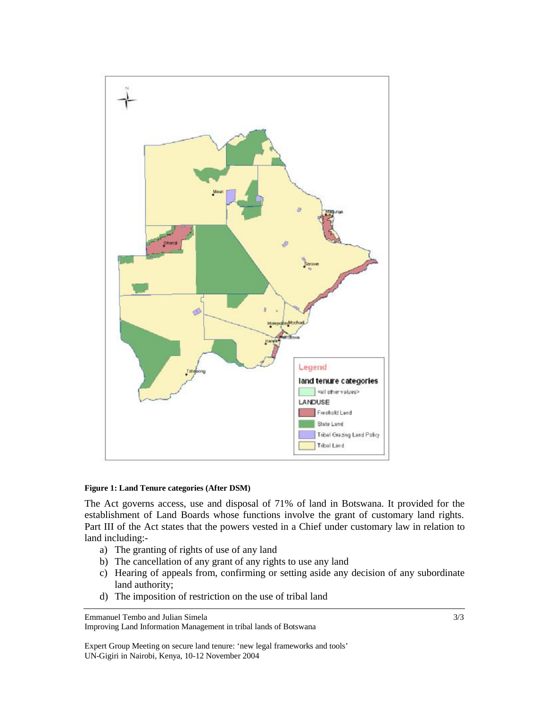

#### **Figure 1: Land Tenure categories (After DSM)**

The Act governs access, use and disposal of 71% of land in Botswana. It provided for the establishment of Land Boards whose functions involve the grant of customary land rights. Part III of the Act states that the powers vested in a Chief under customary law in relation to land including:-

- a) The granting of rights of use of any land
- b) The cancellation of any grant of any rights to use any land
- c) Hearing of appeals from, confirming or setting aside any decision of any subordinate land authority;
- d) The imposition of restriction on the use of tribal land

3/3

Emmanuel Tembo and Julian Simela

Improving Land Information Management in tribal lands of Botswana

Expert Group Meeting on secure land tenure: 'new legal frameworks and tools' UN-Gigiri in Nairobi, Kenya, 10-12 November 2004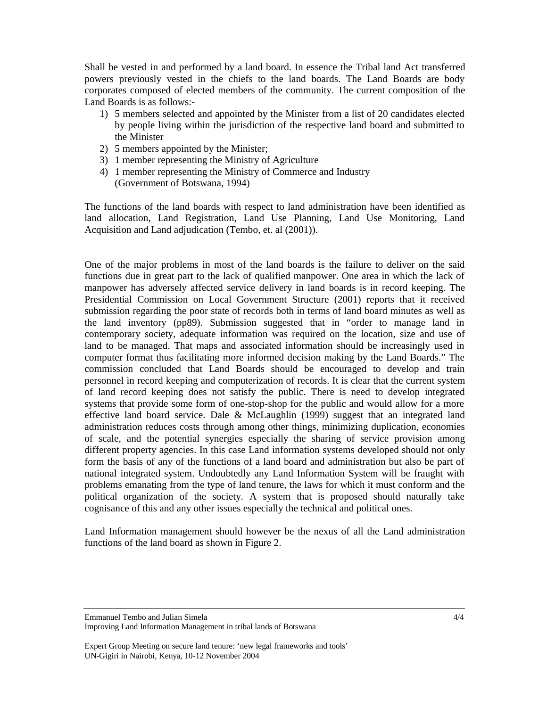Shall be vested in and performed by a land board. In essence the Tribal land Act transferred powers previously vested in the chiefs to the land boards. The Land Boards are body corporates composed of elected members of the community. The current composition of the Land Boards is as follows:-

- 1) 5 members selected and appointed by the Minister from a list of 20 candidates elected by people living within the jurisdiction of the respective land board and submitted to the Minister
- 2) 5 members appointed by the Minister;
- 3) 1 member representing the Ministry of Agriculture
- 4) 1 member representing the Ministry of Commerce and Industry (Government of Botswana, 1994)

The functions of the land boards with respect to land administration have been identified as land allocation, Land Registration, Land Use Planning, Land Use Monitoring, Land Acquisition and Land adjudication (Tembo, et. al (2001)).

One of the major problems in most of the land boards is the failure to deliver on the said functions due in great part to the lack of qualified manpower. One area in which the lack of manpower has adversely affected service delivery in land boards is in record keeping. The Presidential Commission on Local Government Structure (2001) reports that it received submission regarding the poor state of records both in terms of land board minutes as well as the land inventory (pp89). Submission suggested that in "order to manage land in contemporary society, adequate information was required on the location, size and use of land to be managed. That maps and associated information should be increasingly used in computer format thus facilitating more informed decision making by the Land Boards." The commission concluded that Land Boards should be encouraged to develop and train personnel in record keeping and computerization of records. It is clear that the current system of land record keeping does not satisfy the public. There is need to develop integrated systems that provide some form of one-stop-shop for the public and would allow for a more effective land board service. Dale & McLaughlin (1999) suggest that an integrated land administration reduces costs through among other things, minimizing duplication, economies of scale, and the potential synergies especially the sharing of service provision among different property agencies. In this case Land information systems developed should not only form the basis of any of the functions of a land board and administration but also be part of national integrated system. Undoubtedly any Land Information System will be fraught with problems emanating from the type of land tenure, the laws for which it must conform and the political organization of the society. A system that is proposed should naturally take cognisance of this and any other issues especially the technical and political ones.

Land Information management should however be the nexus of all the Land administration functions of the land board as shown in Figure 2.

Emmanuel Tembo and Julian Simela Improving Land Information Management in tribal lands of Botswana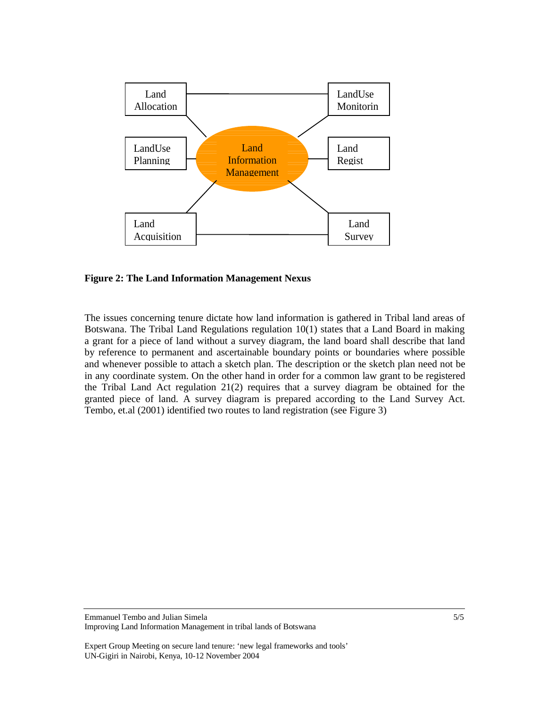

**Figure 2: The Land Information Management Nexus** 

The issues concerning tenure dictate how land information is gathered in Tribal land areas of Botswana. The Tribal Land Regulations regulation 10(1) states that a Land Board in making a grant for a piece of land without a survey diagram, the land board shall describe that land by reference to permanent and ascertainable boundary points or boundaries where possible and whenever possible to attach a sketch plan. The description or the sketch plan need not be in any coordinate system. On the other hand in order for a common law grant to be registered the Tribal Land Act regulation 21(2) requires that a survey diagram be obtained for the granted piece of land. A survey diagram is prepared according to the Land Survey Act. Tembo, et.al (2001) identified two routes to land registration (see Figure 3)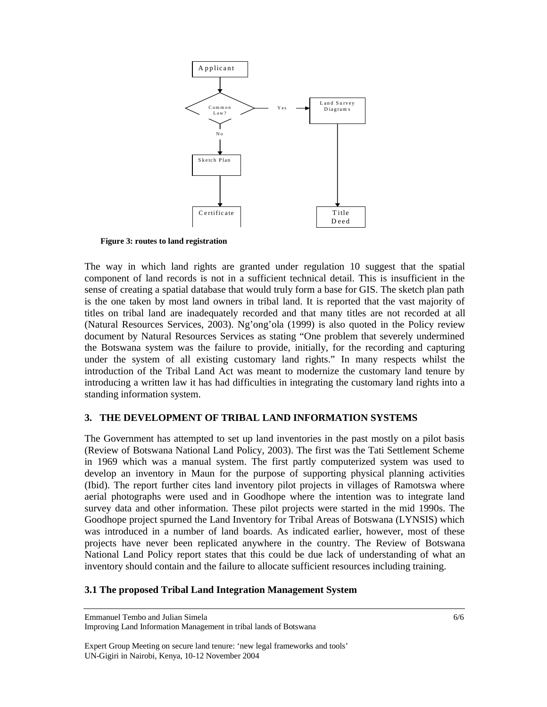

**Figure 3: routes to land registration** 

The way in which land rights are granted under regulation 10 suggest that the spatial component of land records is not in a sufficient technical detail. This is insufficient in the sense of creating a spatial database that would truly form a base for GIS. The sketch plan path is the one taken by most land owners in tribal land. It is reported that the vast majority of titles on tribal land are inadequately recorded and that many titles are not recorded at all (Natural Resources Services, 2003). Ng'ong'ola (1999) is also quoted in the Policy review document by Natural Resources Services as stating "One problem that severely undermined the Botswana system was the failure to provide, initially, for the recording and capturing under the system of all existing customary land rights." In many respects whilst the introduction of the Tribal Land Act was meant to modernize the customary land tenure by introducing a written law it has had difficulties in integrating the customary land rights into a standing information system.

### **3. THE DEVELOPMENT OF TRIBAL LAND INFORMATION SYSTEMS**

The Government has attempted to set up land inventories in the past mostly on a pilot basis (Review of Botswana National Land Policy, 2003). The first was the Tati Settlement Scheme in 1969 which was a manual system. The first partly computerized system was used to develop an inventory in Maun for the purpose of supporting physical planning activities (Ibid). The report further cites land inventory pilot projects in villages of Ramotswa where aerial photographs were used and in Goodhope where the intention was to integrate land survey data and other information. These pilot projects were started in the mid 1990s. The Goodhope project spurned the Land Inventory for Tribal Areas of Botswana (LYNSIS) which was introduced in a number of land boards. As indicated earlier, however, most of these projects have never been replicated anywhere in the country. The Review of Botswana National Land Policy report states that this could be due lack of understanding of what an inventory should contain and the failure to allocate sufficient resources including training.

### **3.1 The proposed Tribal Land Integration Management System**

Emmanuel Tembo and Julian Simela Improving Land Information Management in tribal lands of Botswana

Expert Group Meeting on secure land tenure: 'new legal frameworks and tools' UN-Gigiri in Nairobi, Kenya, 10-12 November 2004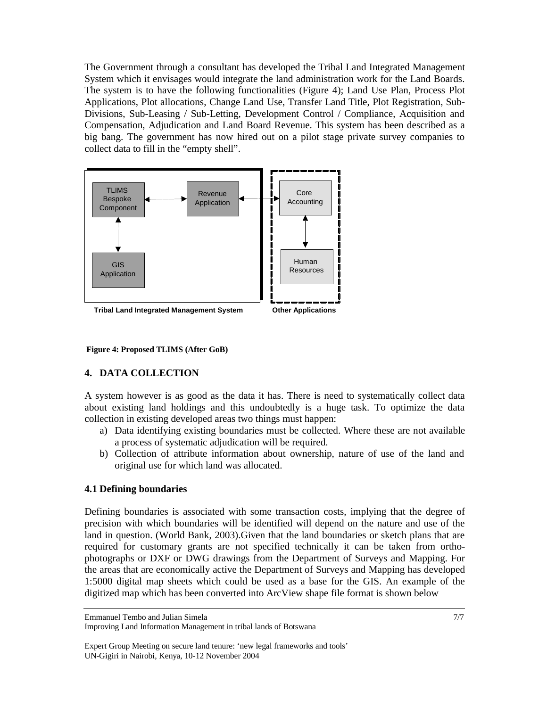The Government through a consultant has developed the Tribal Land Integrated Management System which it envisages would integrate the land administration work for the Land Boards. The system is to have the following functionalities (Figure 4); Land Use Plan, Process Plot Applications, Plot allocations, Change Land Use, Transfer Land Title, Plot Registration, Sub-Divisions, Sub-Leasing / Sub-Letting, Development Control / Compliance, Acquisition and Compensation, Adjudication and Land Board Revenue. This system has been described as a big bang. The government has now hired out on a pilot stage private survey companies to collect data to fill in the "empty shell".



**Figure 4: Proposed TLIMS (After GoB)** 

## **4. DATA COLLECTION**

A system however is as good as the data it has. There is need to systematically collect data about existing land holdings and this undoubtedly is a huge task. To optimize the data collection in existing developed areas two things must happen:

- a) Data identifying existing boundaries must be collected. Where these are not available a process of systematic adjudication will be required.
- b) Collection of attribute information about ownership, nature of use of the land and original use for which land was allocated.

### **4.1 Defining boundaries**

Defining boundaries is associated with some transaction costs, implying that the degree of precision with which boundaries will be identified will depend on the nature and use of the land in question. (World Bank, 2003).Given that the land boundaries or sketch plans that are required for customary grants are not specified technically it can be taken from orthophotographs or DXF or DWG drawings from the Department of Surveys and Mapping. For the areas that are economically active the Department of Surveys and Mapping has developed 1:5000 digital map sheets which could be used as a base for the GIS. An example of the digitized map which has been converted into ArcView shape file format is shown below

Emmanuel Tembo and Julian Simela Improving Land Information Management in tribal lands of Botswana

Expert Group Meeting on secure land tenure: 'new legal frameworks and tools' UN-Gigiri in Nairobi, Kenya, 10-12 November 2004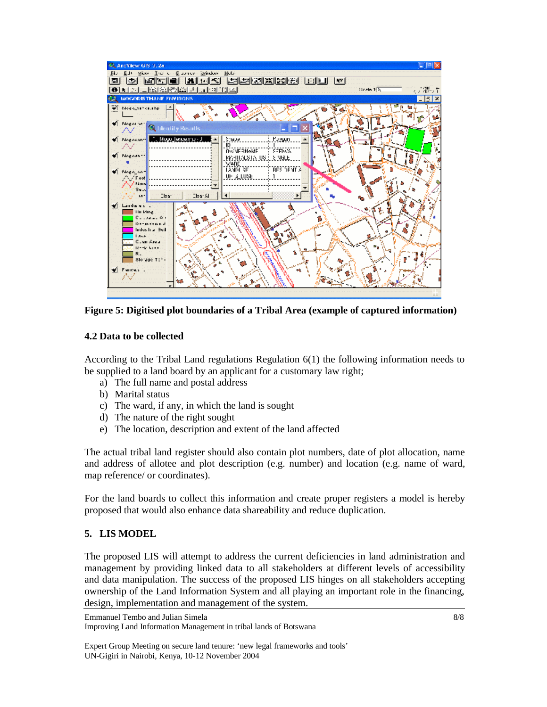

**Figure 5: Digitised plot boundaries of a Tribal Area (example of captured information)** 

## **4.2 Data to be collected**

According to the Tribal Land regulations Regulation 6(1) the following information needs to be supplied to a land board by an applicant for a customary law right;

- a) The full name and postal address
- b) Marital status
- c) The ward, if any, in which the land is sought
- d) The nature of the right sought
- e) The location, description and extent of the land affected

The actual tribal land register should also contain plot numbers, date of plot allocation, name and address of allotee and plot description (e.g. number) and location (e.g. name of ward, map reference/ or coordinates).

For the land boards to collect this information and create proper registers a model is hereby proposed that would also enhance data shareability and reduce duplication.

## **5. LIS MODEL**

The proposed LIS will attempt to address the current deficiencies in land administration and management by providing linked data to all stakeholders at different levels of accessibility and data manipulation. The success of the proposed LIS hinges on all stakeholders accepting ownership of the Land Information System and all playing an important role in the financing, design, implementation and management of the system.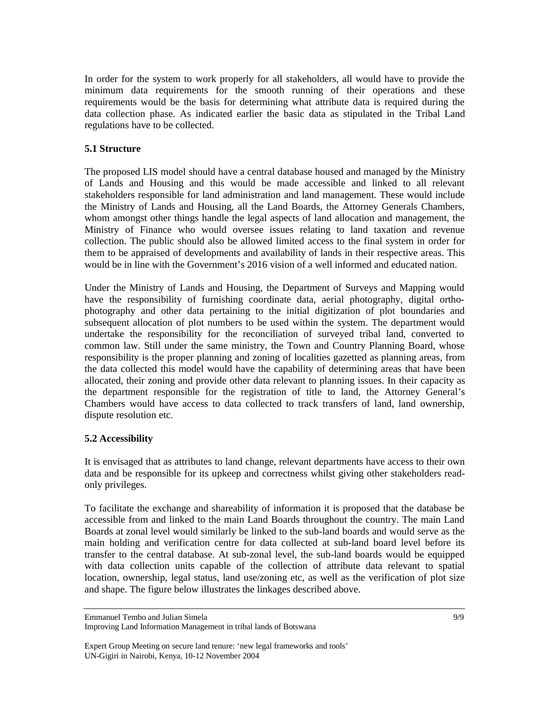In order for the system to work properly for all stakeholders, all would have to provide the minimum data requirements for the smooth running of their operations and these requirements would be the basis for determining what attribute data is required during the data collection phase. As indicated earlier the basic data as stipulated in the Tribal Land regulations have to be collected.

## **5.1 Structure**

The proposed LIS model should have a central database housed and managed by the Ministry of Lands and Housing and this would be made accessible and linked to all relevant stakeholders responsible for land administration and land management. These would include the Ministry of Lands and Housing, all the Land Boards, the Attorney Generals Chambers, whom amongst other things handle the legal aspects of land allocation and management, the Ministry of Finance who would oversee issues relating to land taxation and revenue collection. The public should also be allowed limited access to the final system in order for them to be appraised of developments and availability of lands in their respective areas. This would be in line with the Government's 2016 vision of a well informed and educated nation.

Under the Ministry of Lands and Housing, the Department of Surveys and Mapping would have the responsibility of furnishing coordinate data, aerial photography, digital orthophotography and other data pertaining to the initial digitization of plot boundaries and subsequent allocation of plot numbers to be used within the system. The department would undertake the responsibility for the reconciliation of surveyed tribal land, converted to common law. Still under the same ministry, the Town and Country Planning Board, whose responsibility is the proper planning and zoning of localities gazetted as planning areas, from the data collected this model would have the capability of determining areas that have been allocated, their zoning and provide other data relevant to planning issues. In their capacity as the department responsible for the registration of title to land, the Attorney General's Chambers would have access to data collected to track transfers of land, land ownership, dispute resolution etc.

### **5.2 Accessibility**

It is envisaged that as attributes to land change, relevant departments have access to their own data and be responsible for its upkeep and correctness whilst giving other stakeholders readonly privileges.

To facilitate the exchange and shareability of information it is proposed that the database be accessible from and linked to the main Land Boards throughout the country. The main Land Boards at zonal level would similarly be linked to the sub-land boards and would serve as the main holding and verification centre for data collected at sub-land board level before its transfer to the central database. At sub-zonal level, the sub-land boards would be equipped with data collection units capable of the collection of attribute data relevant to spatial location, ownership, legal status, land use/zoning etc, as well as the verification of plot size and shape. The figure below illustrates the linkages described above.

Emmanuel Tembo and Julian Simela Improving Land Information Management in tribal lands of Botswana

Expert Group Meeting on secure land tenure: 'new legal frameworks and tools' UN-Gigiri in Nairobi, Kenya, 10-12 November 2004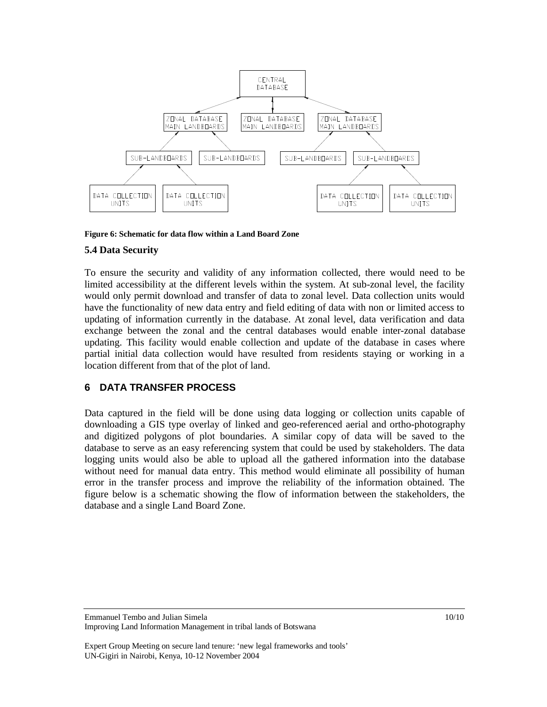

#### **Figure 6: Schematic for data flow within a Land Board Zone**

#### **5.4 Data Security**

To ensure the security and validity of any information collected, there would need to be limited accessibility at the different levels within the system. At sub-zonal level, the facility would only permit download and transfer of data to zonal level. Data collection units would have the functionality of new data entry and field editing of data with non or limited access to updating of information currently in the database. At zonal level, data verification and data exchange between the zonal and the central databases would enable inter-zonal database updating. This facility would enable collection and update of the database in cases where partial initial data collection would have resulted from residents staying or working in a location different from that of the plot of land.

## **6 DATA TRANSFER PROCESS**

Data captured in the field will be done using data logging or collection units capable of downloading a GIS type overlay of linked and geo-referenced aerial and ortho-photography and digitized polygons of plot boundaries. A similar copy of data will be saved to the database to serve as an easy referencing system that could be used by stakeholders. The data logging units would also be able to upload all the gathered information into the database without need for manual data entry. This method would eliminate all possibility of human error in the transfer process and improve the reliability of the information obtained. The figure below is a schematic showing the flow of information between the stakeholders, the database and a single Land Board Zone.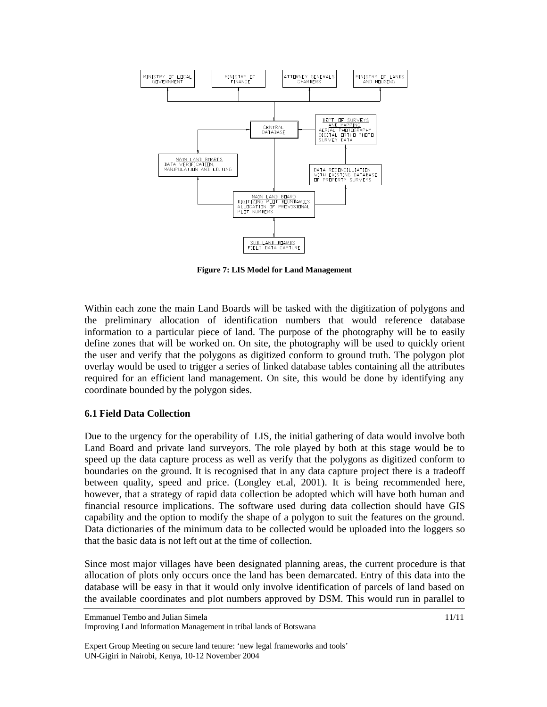

**Figure 7: LIS Model for Land Management**

Within each zone the main Land Boards will be tasked with the digitization of polygons and the preliminary allocation of identification numbers that would reference database information to a particular piece of land. The purpose of the photography will be to easily define zones that will be worked on. On site, the photography will be used to quickly orient the user and verify that the polygons as digitized conform to ground truth. The polygon plot overlay would be used to trigger a series of linked database tables containing all the attributes required for an efficient land management. On site, this would be done by identifying any coordinate bounded by the polygon sides.

### **6.1 Field Data Collection**

Due to the urgency for the operability of LIS, the initial gathering of data would involve both Land Board and private land surveyors. The role played by both at this stage would be to speed up the data capture process as well as verify that the polygons as digitized conform to boundaries on the ground. It is recognised that in any data capture project there is a tradeoff between quality, speed and price. (Longley et.al, 2001). It is being recommended here, however, that a strategy of rapid data collection be adopted which will have both human and financial resource implications. The software used during data collection should have GIS capability and the option to modify the shape of a polygon to suit the features on the ground. Data dictionaries of the minimum data to be collected would be uploaded into the loggers so that the basic data is not left out at the time of collection.

Since most major villages have been designated planning areas, the current procedure is that allocation of plots only occurs once the land has been demarcated. Entry of this data into the database will be easy in that it would only involve identification of parcels of land based on the available coordinates and plot numbers approved by DSM. This would run in parallel to

Emmanuel Tembo and Julian Simela Improving Land Information Management in tribal lands of Botswana 11/11

Expert Group Meeting on secure land tenure: 'new legal frameworks and tools' UN-Gigiri in Nairobi, Kenya, 10-12 November 2004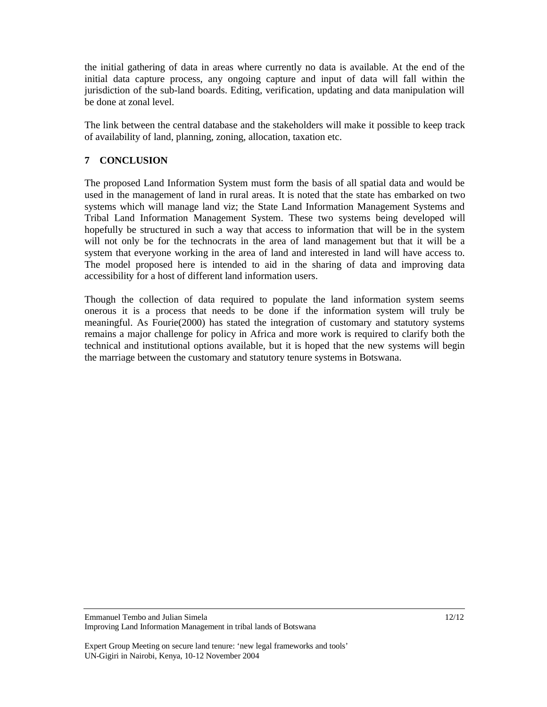the initial gathering of data in areas where currently no data is available. At the end of the initial data capture process, any ongoing capture and input of data will fall within the jurisdiction of the sub-land boards. Editing, verification, updating and data manipulation will be done at zonal level.

The link between the central database and the stakeholders will make it possible to keep track of availability of land, planning, zoning, allocation, taxation etc.

# **7 CONCLUSION**

The proposed Land Information System must form the basis of all spatial data and would be used in the management of land in rural areas. It is noted that the state has embarked on two systems which will manage land viz; the State Land Information Management Systems and Tribal Land Information Management System. These two systems being developed will hopefully be structured in such a way that access to information that will be in the system will not only be for the technocrats in the area of land management but that it will be a system that everyone working in the area of land and interested in land will have access to. The model proposed here is intended to aid in the sharing of data and improving data accessibility for a host of different land information users.

Though the collection of data required to populate the land information system seems onerous it is a process that needs to be done if the information system will truly be meaningful. As Fourie(2000) has stated the integration of customary and statutory systems remains a major challenge for policy in Africa and more work is required to clarify both the technical and institutional options available, but it is hoped that the new systems will begin the marriage between the customary and statutory tenure systems in Botswana.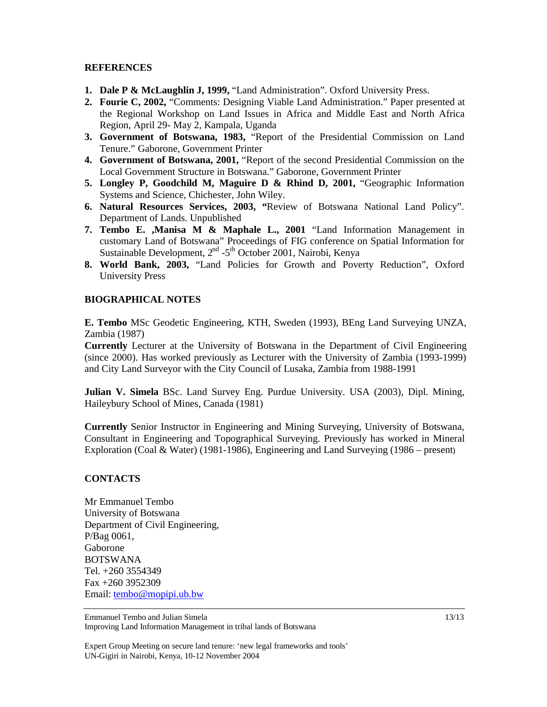### **REFERENCES**

- **1. Dale P & McLaughlin J, 1999,** "Land Administration". Oxford University Press.
- **2. Fourie C, 2002,** "Comments: Designing Viable Land Administration." Paper presented at the Regional Workshop on Land Issues in Africa and Middle East and North Africa Region, April 29- May 2, Kampala, Uganda
- **3. Government of Botswana, 1983,** "Report of the Presidential Commission on Land Tenure." Gaborone, Government Printer
- **4. Government of Botswana, 2001,** "Report of the second Presidential Commission on the Local Government Structure in Botswana." Gaborone, Government Printer
- **5. Longley P, Goodchild M, Maguire D & Rhind D, 2001,** "Geographic Information Systems and Science, Chichester, John Wiley.
- **6. Natural Resources Services, 2003, "**Review of Botswana National Land Policy". Department of Lands. Unpublished
- **7. Tembo E. ,Manisa M & Maphale L., 2001** "Land Information Management in customary Land of Botswana" Proceedings of FIG conference on Spatial Information for Sustainable Development,  $2<sup>nd</sup> - 5<sup>th</sup>$  October 2001, Nairobi, Kenya
- **8. World Bank, 2003,** "Land Policies for Growth and Poverty Reduction", Oxford University Press

### **BIOGRAPHICAL NOTES**

**E. Tembo** MSc Geodetic Engineering, KTH, Sweden (1993), BEng Land Surveying UNZA, Zambia (1987)

**Currently** Lecturer at the University of Botswana in the Department of Civil Engineering (since 2000). Has worked previously as Lecturer with the University of Zambia (1993-1999) and City Land Surveyor with the City Council of Lusaka, Zambia from 1988-1991

**Julian V. Simela** BSc. Land Survey Eng. Purdue University. USA (2003), Dipl. Mining, Haileybury School of Mines, Canada (1981)

**Currently** Senior Instructor in Engineering and Mining Surveying, University of Botswana, Consultant in Engineering and Topographical Surveying. Previously has worked in Mineral Exploration (Coal & Water) (1981-1986), Engineering and Land Surveying (1986 – present)

### **CONTACTS**

Mr Emmanuel Tembo University of Botswana Department of Civil Engineering, P/Bag 0061, Gaborone BOTSWANA Tel. +260 3554349 Fax +260 3952309 Email: [tembo@mopipi.ub.bw](mailto:tembo@mopipi.ub.bw)

Emmanuel Tembo and Julian Simela Improving Land Information Management in tribal lands of Botswana